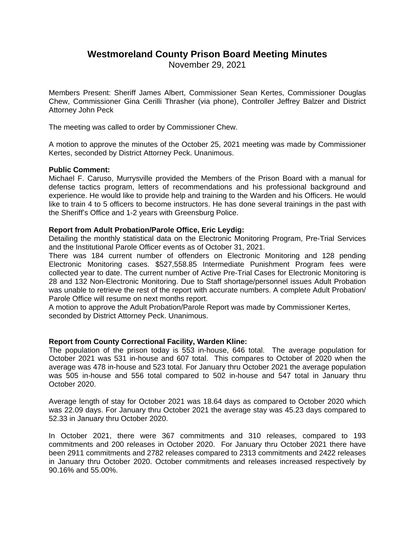# **Westmoreland County Prison Board Meeting Minutes**

November 29, 2021

Members Present: Sheriff James Albert, Commissioner Sean Kertes, Commissioner Douglas Chew, Commissioner Gina Cerilli Thrasher (via phone), Controller Jeffrey Balzer and District Attorney John Peck

The meeting was called to order by Commissioner Chew.

A motion to approve the minutes of the October 25, 2021 meeting was made by Commissioner Kertes, seconded by District Attorney Peck. Unanimous.

# **Public Comment:**

Michael F. Caruso, Murrysville provided the Members of the Prison Board with a manual for defense tactics program, letters of recommendations and his professional background and experience. He would like to provide help and training to the Warden and his Officers. He would like to train 4 to 5 officers to become instructors. He has done several trainings in the past with the Sheriff's Office and 1-2 years with Greensburg Police.

# **Report from Adult Probation/Parole Office, Eric Leydig:**

Detailing the monthly statistical data on the Electronic Monitoring Program, Pre-Trial Services and the Institutional Parole Officer events as of October 31, 2021.

There was 184 current number of offenders on Electronic Monitoring and 128 pending Electronic Monitoring cases. \$527,558.85 Intermediate Punishment Program fees were collected year to date. The current number of Active Pre-Trial Cases for Electronic Monitoring is 28 and 132 Non-Electronic Monitoring. Due to Staff shortage/personnel issues Adult Probation was unable to retrieve the rest of the report with accurate numbers. A complete Adult Probation/ Parole Office will resume on next months report.

A motion to approve the Adult Probation/Parole Report was made by Commissioner Kertes, seconded by District Attorney Peck. Unanimous.

# **Report from County Correctional Facility, Warden Kline:**

The population of the prison today is 553 in-house, 646 total. The average population for October 2021 was 531 in-house and 607 total. This compares to October of 2020 when the average was 478 in-house and 523 total. For January thru October 2021 the average population was 505 in-house and 556 total compared to 502 in-house and 547 total in January thru October 2020.

Average length of stay for October 2021 was 18.64 days as compared to October 2020 which was 22.09 days. For January thru October 2021 the average stay was 45.23 days compared to 52.33 in January thru October 2020.

In October 2021, there were 367 commitments and 310 releases, compared to 193 commitments and 200 releases in October 2020. For January thru October 2021 there have been 2911 commitments and 2782 releases compared to 2313 commitments and 2422 releases in January thru October 2020. October commitments and releases increased respectively by 90.16% and 55.00%.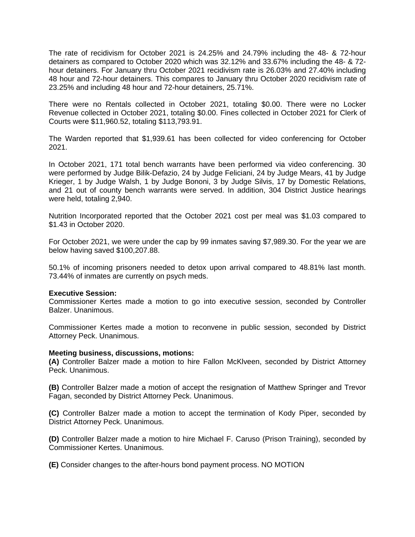The rate of recidivism for October 2021 is 24.25% and 24.79% including the 48- & 72-hour detainers as compared to October 2020 which was 32.12% and 33.67% including the 48- & 72 hour detainers. For January thru October 2021 recidivism rate is 26.03% and 27.40% including 48 hour and 72-hour detainers. This compares to January thru October 2020 recidivism rate of 23.25% and including 48 hour and 72-hour detainers, 25.71%.

There were no Rentals collected in October 2021, totaling \$0.00. There were no Locker Revenue collected in October 2021, totaling \$0.00. Fines collected in October 2021 for Clerk of Courts were \$11,960.52, totaling \$113,793.91.

The Warden reported that \$1,939.61 has been collected for video conferencing for October 2021.

In October 2021, 171 total bench warrants have been performed via video conferencing. 30 were performed by Judge Bilik-Defazio, 24 by Judge Feliciani, 24 by Judge Mears, 41 by Judge Krieger, 1 by Judge Walsh, 1 by Judge Bononi, 3 by Judge Silvis, 17 by Domestic Relations, and 21 out of county bench warrants were served. In addition, 304 District Justice hearings were held, totaling 2,940.

Nutrition Incorporated reported that the October 2021 cost per meal was \$1.03 compared to \$1.43 in October 2020.

For October 2021, we were under the cap by 99 inmates saving \$7,989.30. For the year we are below having saved \$100,207.88.

50.1% of incoming prisoners needed to detox upon arrival compared to 48.81% last month. 73.44% of inmates are currently on psych meds.

### **Executive Session:**

Commissioner Kertes made a motion to go into executive session, seconded by Controller Balzer. Unanimous.

Commissioner Kertes made a motion to reconvene in public session, seconded by District Attorney Peck. Unanimous.

### **Meeting business, discussions, motions:**

**(A)** Controller Balzer made a motion to hire Fallon McKlveen, seconded by District Attorney Peck. Unanimous.

**(B)** Controller Balzer made a motion of accept the resignation of Matthew Springer and Trevor Fagan, seconded by District Attorney Peck. Unanimous.

**(C)** Controller Balzer made a motion to accept the termination of Kody Piper, seconded by District Attorney Peck. Unanimous.

**(D)** Controller Balzer made a motion to hire Michael F. Caruso (Prison Training), seconded by Commissioner Kertes. Unanimous.

**(E)** Consider changes to the after-hours bond payment process. NO MOTION